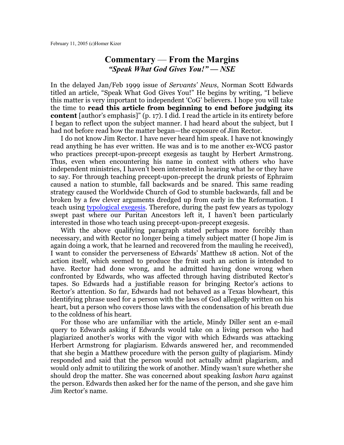## **Commentary** — **From the Margins** *"Speak What God Gives You!" — NSE*

In the delayed Jan/Feb 1999 issue of *Servants' News*, Norman Scott Edwards titled an article, "Speak What God Gives You!" He begins by writing, "I believe this matter is very important to independent 'CoG' believers. I hope you will take the time to **read this article from beginning to end before judging its content** [author's emphasis]" (p. 17). I did. I read the article in its entirety before I began to reflect upon the subject manner. I had heard about the subject, but I had not before read how the matter began—the exposure of Jim Rector.

I do not know Jim Rector. I have never heard him speak. I have not knowingly read anything he has ever written. He was and is to me another ex-WCG pastor who practices precept-upon-precept exegesis as taught by Herbert Armstrong. Thus, even when encountering his name in context with others who have independent ministries, I haven't been interested in hearing what he or they have to say. For through teaching precept-upon-precept the drunk priests of Ephraim caused a nation to stumble, fall backwards and be snared. This same reading strategy caused the Worldwide Church of God to stumble backwards, fall and be broken by a few clever arguments dredged up from early in the Reformation. I teach using [typological exegesis](http://homerkizer.org/exegesis.html). Therefore, during the past few years as typology swept past where our Puritan Ancestors left it, I haven't been particularly interested in those who teach using precept-upon-precept exegesis.

With the above qualifying paragraph stated perhaps more forcibly than necessary, and with Rector no longer being a timely subject matter (I hope Jim is again doing a work, that he learned and recovered from the mauling he received), I want to consider the perverseness of Edwards' Matthew 18 action. Not of the action itself, which seemed to produce the fruit such an action is intended to have. Rector had done wrong, and he admitted having done wrong when confronted by Edwards, who was affected through having distributed Rector's tapes. So Edwards had a justifiable reason for bringing Rector's actions to Rector's attention. So far, Edwards had not behaved as a Texas blowheart, this identifying phrase used for a person with the laws of God allegedly written on his heart, but a person who covers those laws with the condensation of his breath due to the coldness of his heart.

For those who are unfamiliar with the article, Mindy Diller sent an e-mail query to Edwards asking if Edwards would take on a living person who had plagiarized another's works with the vigor with which Edwards was attacking Herbert Armstrong for plagiarism. Edwards answered her, and recommended that she begin a Matthew procedure with the person guilty of plagiarism. Mindy responded and said that the person would not actually admit plagiarism, and would only admit to utilizing the work of another. Mindy wasn't sure whether she should drop the matter. She was concerned about speaking *lashon hara* against the person. Edwards then asked her for the name of the person, and she gave him Jim Rector's name.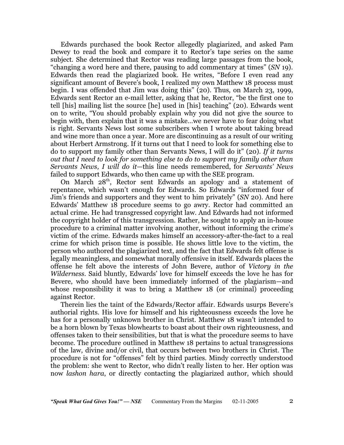Edwards purchased the book Rector allegedly plagiarized, and asked Pam Dewey to read the book and compare it to Rector's tape series on the same subject. She determined that Rector was reading large passages from the book, "changing a word here and there, pausing to add commentary at times" (*SN* 19). Edwards then read the plagiarized book. He writes, "Before I even read any significant amount of Bevere's book, I realized my own Matthew 18 process must begin. I was offended that Jim was doing this" (20). Thus, on March 23, 1999, Edwards sent Rector an e-mail letter, asking that he, Rector, "be the first one to tell [his] mailing list the source [he] used in [his] teaching" (20). Edwards went on to write, "You should probably explain why you did not give the source to begin with, then explain that it was a mistake…we never have to fear doing what is right. Servants News lost some subscribers when I wrote about taking bread and wine more than once a year. More are discontinuing as a result of our writing about Herbert Armstrong. If it turns out that I need to look for something else to do to support my family other than Servants News, I will do it" (20). *If it turns out that I need to look for something else to do to support my family other than Servants News, I will do it*—this line needs remembered, for *Servants' News* failed to support Edwards, who then came up with the SEE program.

On March 28<sup>th</sup>, Rector sent Edwards an apology and a statement of repentance, which wasn't enough for Edwards. So Edwards "informed four of Jim's friends and supporters and they went to him privately" (*SN* 20). And here Edwards' Matthew 18 procedure seems to go awry. Rector had committed an actual crime. He had transgressed copyright law. And Edwards had not informed the copyright holder of this transgression. Rather, he sought to apply an in-house procedure to a criminal matter involving another, without informing the crime's victim of the crime. Edwards makes himself an accessory-after-the-fact to a real crime for which prison time is possible. He shows little love to the victim, the person who authored the plagiarized text, and the fact that Edwards felt offense is legally meaningless, and somewhat morally offensive in itself. Edwards places the offense he felt above the interests of John Bevere, author of *Victory in the Wilderness*. Said bluntly, Edwards' love for himself exceeds the love he has for Bevere, who should have been immediately informed of the plagiarism—and whose responsibility it was to bring a Matthew 18 (or criminal) proceeding against Rector.

Therein lies the taint of the Edwards/Rector affair. Edwards usurps Bevere's authorial rights. His love for himself and his righteousness exceeds the love he has for a personally unknown brother in Christ. Matthew 18 wasn't intended to be a horn blown by Texas blowhearts to boast about their own righteousness, and offenses taken to their sensibilities, but that is what the procedure seems to have become. The procedure outlined in Matthew 18 pertains to actual transgressions of the law, divine and/or civil, that occurs between two brothers in Christ. The procedure is not for "offenses" felt by third parties. Mindy correctly understood the problem: she went to Rector, who didn't really listen to her. Her option was now *lashon hara*, or directly contacting the plagiarized author, which should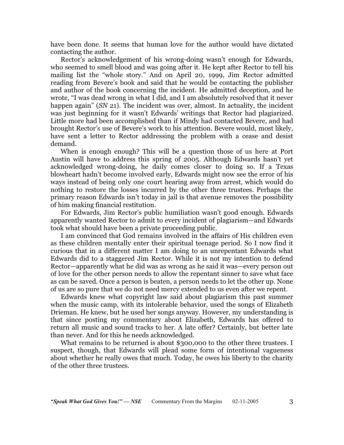have been done. It seems that human love for the author would have dictated contacting the author.

Rector's acknowledgement of his wrong-doing wasn't enough for Edwards, who seemed to smell blood and was going after it. He kept after Rector to tell his mailing list the "whole story." And on April 20, 1999, Jim Rector admitted reading from Bevere's book and said that he would be contacting the publisher and author of the book concerning the incident. He admitted deception, and he wrote, "I was dead wrong in what I did, and I am absolutely resolved that it never happen again" (*SN* 21). The incident was over, almost. In actuality, the incident was just beginning for it wasn't Edwards' writings that Rector had plagiarized. Little more had been accomplished than if Mindy had contacted Bevere, and had brought Rector's use of Bevere's work to his attention. Bevere would, most likely, have sent a letter to Rector addressing the problem with a cease and desist demand.

When is enough enough? This will be a question those of us here at Port Austin will have to address this spring of 2005. Although Edwards hasn't yet acknowledged wrong-doing, he daily comes closer to doing so. If a Texas blowheart hadn't become involved early, Edwards might now see the error of his ways instead of being only one court hearing away from arrest, which would do nothing to restore the losses incurred by the other three trustees. Perhaps the primary reason Edwards isn't today in jail is that avenue removes the possibility of him making financial restitution.

For Edwards, Jim Rector's public humiliation wasn't good enough. Edwards apparently wanted Rector to admit to every incident of plagiarism—and Edwards took what should have been a private proceeding public.

I am convinced that God remains involved in the affairs of His children even as these children mentally enter their spiritual teenage period. So I now find it curious that in a different matter I am doing to an unrepentant Edwards what Edwards did to a staggered Jim Rector. While it is not my intention to defend Rector—apparently what he did was as wrong as he said it was—every person out of love for the other person needs to allow the repentant sinner to save what face as can be saved. Once a person is beaten, a person needs to let the other up. None of us are so pure that we do not need mercy extended to us even after we repent.

Edwards knew what copyright law said about plagiarism this past summer when the music camp, with its intolerable behavior, used the songs of Elizabeth Drieman. He knew, but he used her songs anyway. However, my understanding is that since posting my commentary about Elizabeth, Edwards has offered to return all music and sound tracks to her. A late offer? Certainly, but better late than never. And for this he needs acknowledged.

What remains to be returned is about \$300,000 to the other three trustees. I suspect, though, that Edwards will plead some form of intentional vagueness about whether he really owes that much. Today, he owes his liberty to the charity of the other three trustees.